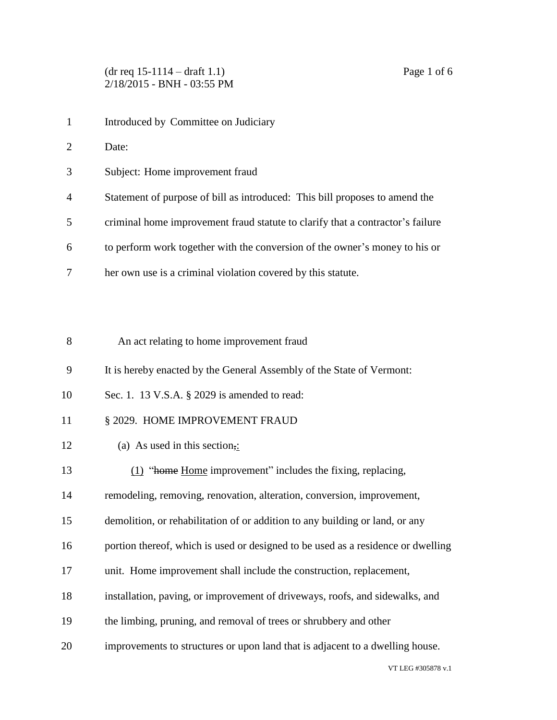- 1 Introduced by Committee on Judiciary
- Date:
- Subject: Home improvement fraud
- Statement of purpose of bill as introduced: This bill proposes to amend the
- criminal home improvement fraud statute to clarify that a contractor's failure
- to perform work together with the conversion of the owner's money to his or
- her own use is a criminal violation covered by this statute.

| -8 | An act relating to home improvement fraud |
|----|-------------------------------------------|
|----|-------------------------------------------|

- It is hereby enacted by the General Assembly of the State of Vermont:
- Sec. 1. 13 V.S.A. § 2029 is amended to read:
- 11 § 2029. HOME IMPROVEMENT FRAUD
- 12 (a) As used in this section,:
- (1) "home Home improvement" includes the fixing, replacing,
- remodeling, removing, renovation, alteration, conversion, improvement,
- demolition, or rehabilitation of or addition to any building or land, or any
- portion thereof, which is used or designed to be used as a residence or dwelling
- unit. Home improvement shall include the construction, replacement,
- installation, paving, or improvement of driveways, roofs, and sidewalks, and
- the limbing, pruning, and removal of trees or shrubbery and other
- improvements to structures or upon land that is adjacent to a dwelling house.

VT LEG #305878 v.1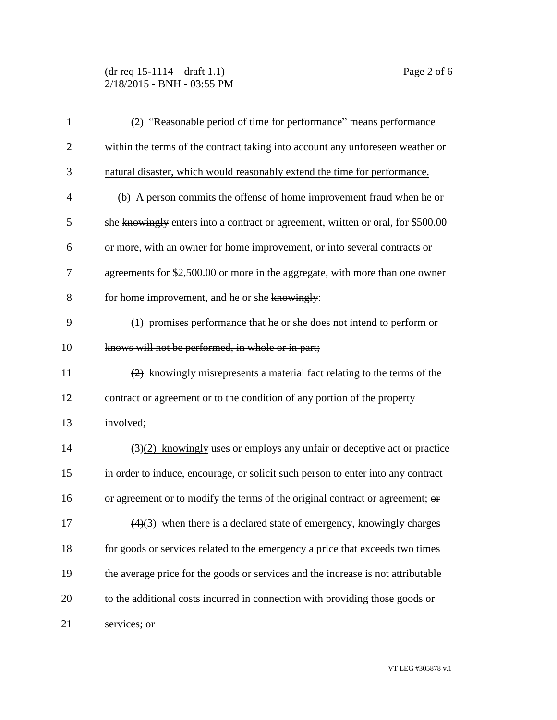## (dr req 15-1114 – draft 1.1) Page 2 of 6 2/18/2015 - BNH - 03:55 PM

| $\mathbf{1}$   | (2) "Reasonable period of time for performance" means performance                            |
|----------------|----------------------------------------------------------------------------------------------|
| $\overline{2}$ | within the terms of the contract taking into account any unforeseen weather or               |
| 3              | natural disaster, which would reasonably extend the time for performance.                    |
| $\overline{4}$ | (b) A person commits the offense of home improvement fraud when he or                        |
| 5              | she knowingly enters into a contract or agreement, written or oral, for \$500.00             |
| 6              | or more, with an owner for home improvement, or into several contracts or                    |
| 7              | agreements for \$2,500.00 or more in the aggregate, with more than one owner                 |
| 8              | for home improvement, and he or she knowingly:                                               |
| 9              | (1) promises performance that he or she does not intend to perform or                        |
| 10             | knows will not be performed, in whole or in part;                                            |
| 11             | $\left(2\right)$ knowingly misrepresents a material fact relating to the terms of the        |
| 12             | contract or agreement or to the condition of any portion of the property                     |
| 13             | involved;                                                                                    |
| 14             | $\left(\frac{3}{2}\right)$ knowingly uses or employs any unfair or deceptive act or practice |
| 15             | in order to induce, encourage, or solicit such person to enter into any contract             |
| 16             | or agreement or to modify the terms of the original contract or agreement; or                |
| 17             | $\left(\frac{4}{3}\right)$ when there is a declared state of emergency, knowingly charges    |
| 18             | for goods or services related to the emergency a price that exceeds two times                |
| 19             | the average price for the goods or services and the increase is not attributable             |
| 20             | to the additional costs incurred in connection with providing those goods or                 |
| 21             | services; or                                                                                 |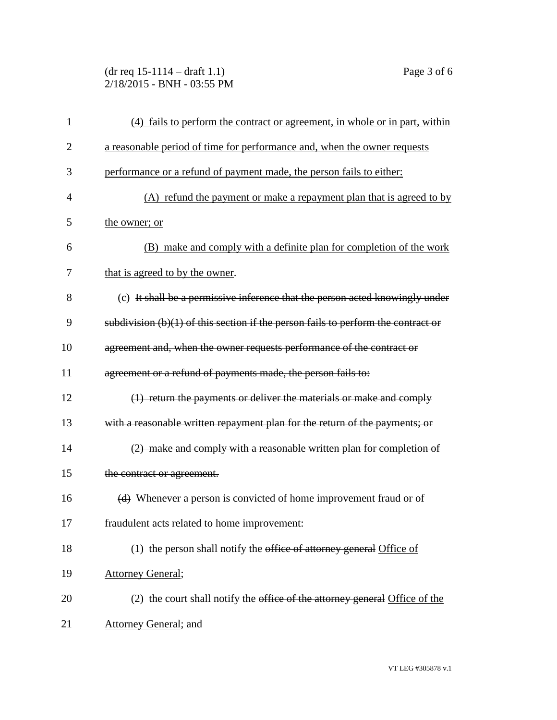(dr req 15-1114 – draft 1.1) Page 3 of 6 2/18/2015 - BNH - 03:55 PM

| $\mathbf{1}$   | (4) fails to perform the contract or agreement, in whole or in part, within            |
|----------------|----------------------------------------------------------------------------------------|
| $\overline{2}$ | a reasonable period of time for performance and, when the owner requests               |
| 3              | performance or a refund of payment made, the person fails to either:                   |
| 4              | (A) refund the payment or make a repayment plan that is agreed to by                   |
| 5              | the owner; or                                                                          |
| 6              | (B) make and comply with a definite plan for completion of the work                    |
| 7              | that is agreed to by the owner.                                                        |
| 8              | (c) It shall be a permissive inference that the person acted knowingly under           |
| 9              | subdivision $(b)(1)$ of this section if the person fails to perform the contract or    |
| 10             | agreement and, when the owner requests performance of the contract or                  |
| 11             | agreement or a refund of payments made, the person fails to:                           |
| 12             | (1) return the payments or deliver the materials or make and comply                    |
| 13             | with a reasonable written repayment plan for the return of the payments; or            |
| 14             | $(2)$ make and comply with a reasonable written plan for completion of                 |
| 15             | the contract or agreement.                                                             |
| 16             | (d) Whenever a person is convicted of home improvement fraud or of                     |
| 17             | fraudulent acts related to home improvement:                                           |
| 18             | (1) the person shall notify the office of attorney general Office of                   |
| 19             | <b>Attorney General;</b>                                                               |
| 20             | (2) the court shall notify the <del>office of the attorney general</del> Office of the |
| 21             | <b>Attorney General</b> ; and                                                          |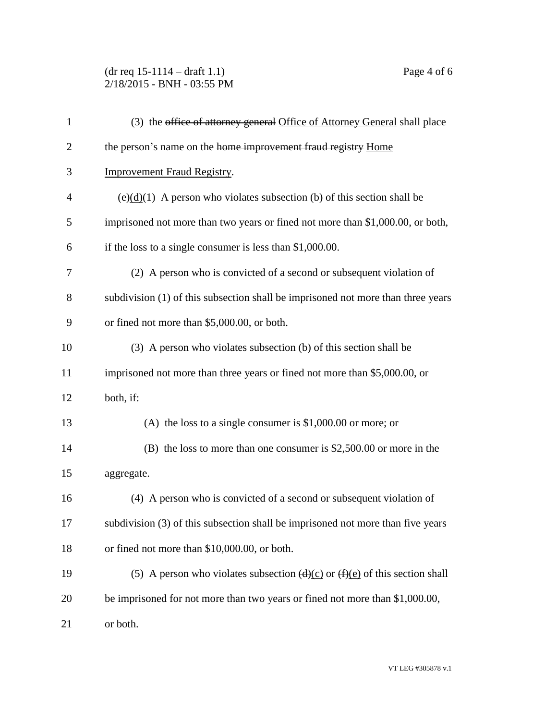## (dr req 15-1114 – draft 1.1) Page 4 of 6 2/18/2015 - BNH - 03:55 PM

| $\mathbf{1}$   | (3) the office of attorney general Office of Attorney General shall place                   |
|----------------|---------------------------------------------------------------------------------------------|
| $\overline{2}$ | the person's name on the home improvement fraud registry Home                               |
| 3              | <b>Improvement Fraud Registry.</b>                                                          |
| $\overline{4}$ | $\left(\frac{e}{d}\right)(1)$ A person who violates subsection (b) of this section shall be |
| 5              | imprisoned not more than two years or fined not more than \$1,000.00, or both,              |
| 6              | if the loss to a single consumer is less than $$1,000.00$ .                                 |
| 7              | (2) A person who is convicted of a second or subsequent violation of                        |
| 8              | subdivision (1) of this subsection shall be imprisoned not more than three years            |
| 9              | or fined not more than \$5,000.00, or both.                                                 |
| 10             | (3) A person who violates subsection (b) of this section shall be                           |
| 11             | imprisoned not more than three years or fined not more than \$5,000.00, or                  |
| 12             | both, if:                                                                                   |
| 13             | (A) the loss to a single consumer is $$1,000.00$ or more; or                                |
| 14             | $(B)$ the loss to more than one consumer is \$2,500.00 or more in the                       |
| 15             | aggregate.                                                                                  |
| 16             | (4) A person who is convicted of a second or subsequent violation of                        |
| 17             | subdivision (3) of this subsection shall be imprisoned not more than five years             |
| 18             | or fined not more than \$10,000.00, or both.                                                |
| 19             | (5) A person who violates subsection $(d)(c)$ or $(f)(e)$ of this section shall             |
| 20             | be imprisoned for not more than two years or fined not more than \$1,000.00,                |
| 21             | or both.                                                                                    |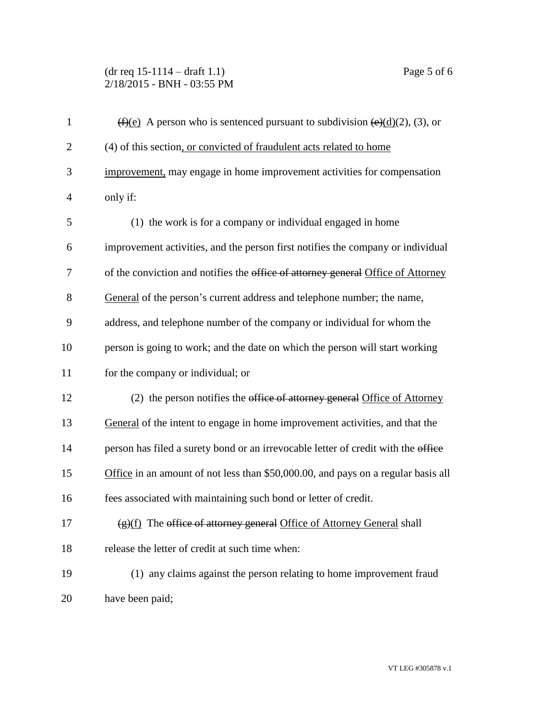## (dr req 15-1114 – draft 1.1) Page 5 of 6 2/18/2015 - BNH - 03:55 PM

| $\mathbf{1}$   | $\overline{(f)(e)}$ A person who is sentenced pursuant to subdivision $\overline{(e)(d)}(2)$ , (3), or |
|----------------|--------------------------------------------------------------------------------------------------------|
| $\overline{2}$ | (4) of this section, or convicted of fraudulent acts related to home                                   |
| 3              | improvement, may engage in home improvement activities for compensation                                |
| $\overline{4}$ | only if:                                                                                               |
| 5              | (1) the work is for a company or individual engaged in home                                            |
| 6              | improvement activities, and the person first notifies the company or individual                        |
| 7              | of the conviction and notifies the office of attorney general Office of Attorney                       |
| 8              | General of the person's current address and telephone number; the name,                                |
| 9              | address, and telephone number of the company or individual for whom the                                |
| 10             | person is going to work; and the date on which the person will start working                           |
| 11             | for the company or individual; or                                                                      |
| 12             | (2) the person notifies the office of attorney general Office of Attorney                              |
| 13             | General of the intent to engage in home improvement activities, and that the                           |
| 14             | person has filed a surety bond or an irrevocable letter of credit with the office                      |
| 15             | Office in an amount of not less than \$50,000.00, and pays on a regular basis all                      |
| 16             | fees associated with maintaining such bond or letter of credit.                                        |
| 17             | (g)(f) The office of attorney general Office of Attorney General shall                                 |
| 18             | release the letter of credit at such time when:                                                        |
| 19             | (1) any claims against the person relating to home improvement fraud                                   |
| 20             | have been paid;                                                                                        |